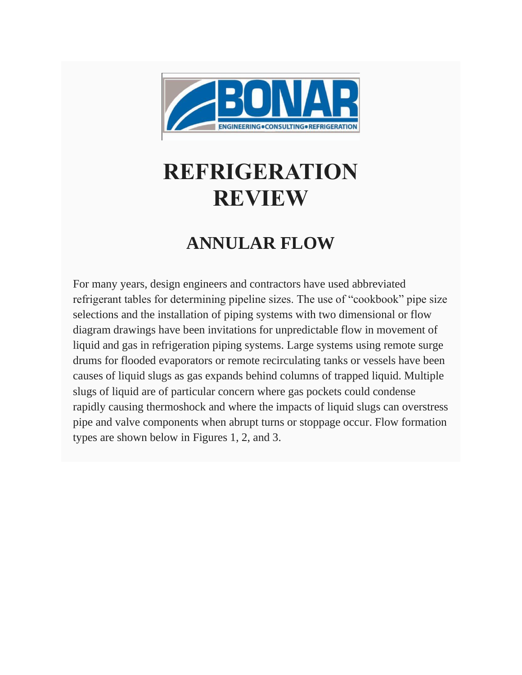

## **REFRIGERATION REVIEW**

## **ANNULAR FLOW**

For many years, design engineers and contractors have used abbreviated refrigerant tables for determining pipeline sizes. The use of "cookbook" pipe size selections and the installation of piping systems with two dimensional or flow diagram drawings have been invitations for unpredictable flow in movement of liquid and gas in refrigeration piping systems. Large systems using remote surge drums for flooded evaporators or remote recirculating tanks or vessels have been causes of liquid slugs as gas expands behind columns of trapped liquid. Multiple slugs of liquid are of particular concern where gas pockets could condense rapidly causing thermoshock and where the impacts of liquid slugs can overstress pipe and valve components when abrupt turns or stoppage occur. Flow formation types are shown below in Figures 1, 2, and 3.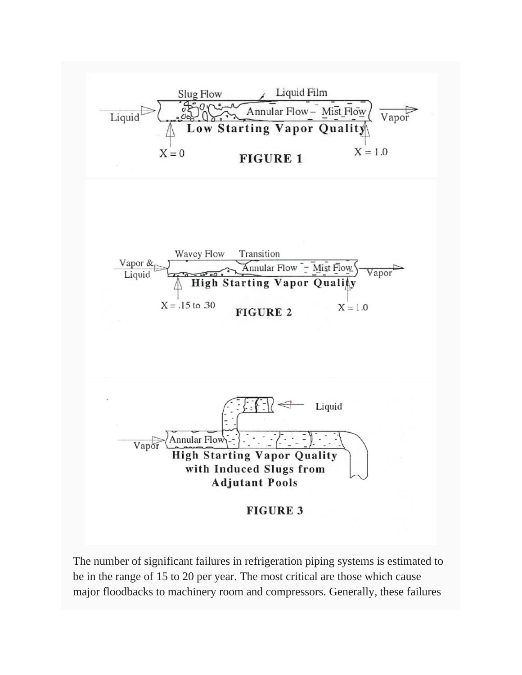

The number of significant failures in refrigeration piping systems is estimated to be in the range of 15 to 20 per year. The most critical are those which cause major floodbacks to machinery room and compressors. Generally, these failures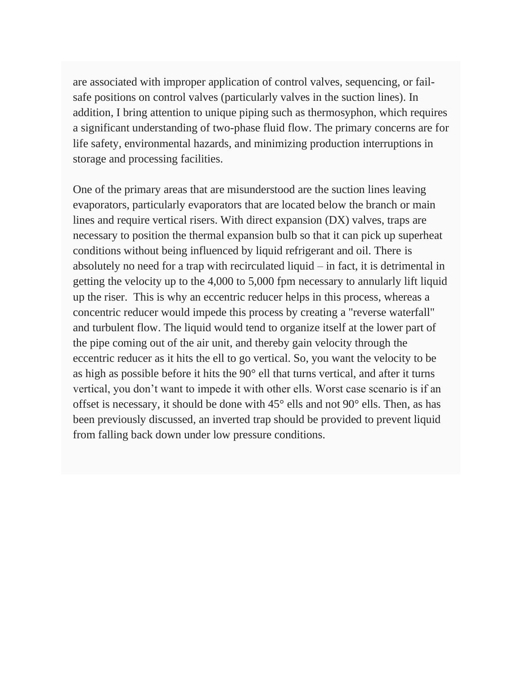are associated with improper application of control valves, sequencing, or failsafe positions on control valves (particularly valves in the suction lines). In addition, I bring attention to unique piping such as thermosyphon, which requires a significant understanding of two-phase fluid flow. The primary concerns are for life safety, environmental hazards, and minimizing production interruptions in storage and processing facilities.

One of the primary areas that are misunderstood are the suction lines leaving evaporators, particularly evaporators that are located below the branch or main lines and require vertical risers. With direct expansion (DX) valves, traps are necessary to position the thermal expansion bulb so that it can pick up superheat conditions without being influenced by liquid refrigerant and oil. There is absolutely no need for a trap with recirculated liquid – in fact, it is detrimental in getting the velocity up to the 4,000 to 5,000 fpm necessary to annularly lift liquid up the riser. This is why an eccentric reducer helps in this process, whereas a concentric reducer would impede this process by creating a "reverse waterfall" and turbulent flow. The liquid would tend to organize itself at the lower part of the pipe coming out of the air unit, and thereby gain velocity through the eccentric reducer as it hits the ell to go vertical. So, you want the velocity to be as high as possible before it hits the 90° ell that turns vertical, and after it turns vertical, you don't want to impede it with other ells. Worst case scenario is if an offset is necessary, it should be done with 45° ells and not 90° ells. Then, as has been previously discussed, an inverted trap should be provided to prevent liquid from falling back down under low pressure conditions.